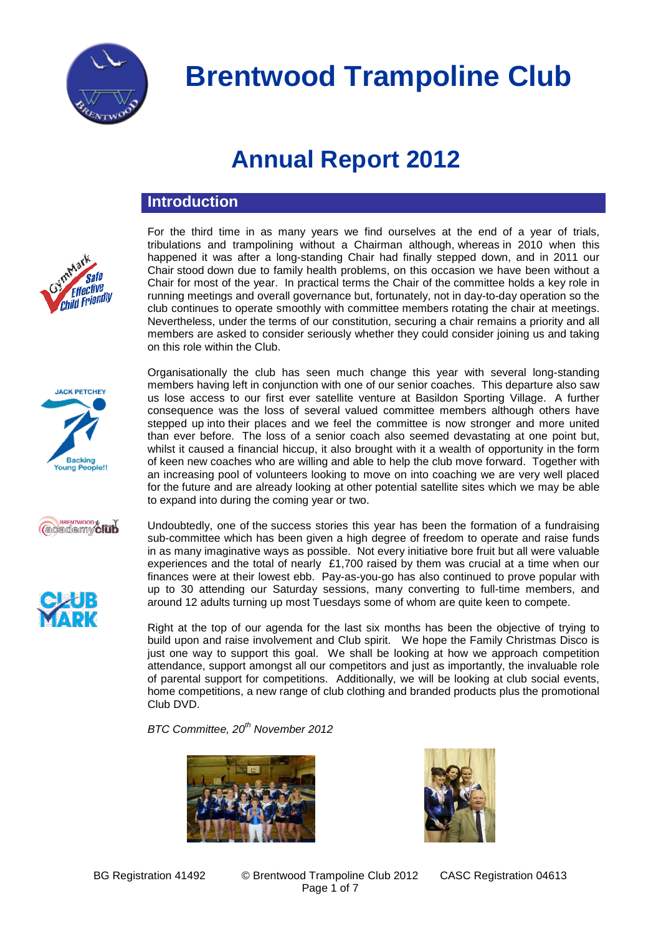

For the third time in as many years we find ourselves at the end of a year of trials, tribulations and trampolining without a Chairman although, whereas in 2010 when this happened it was after a long-standing Chair had finally stepped down, and in 2011 our Chair stood down due to family health problems, on this occasion we have been without a Chair for most of the year. In practical terms the Chair of the committee holds a key role in running meetings and overall governance but, fortunately, not in day-to-day operation so the club continues to operate smoothly with committee members rotating the chair at meetings. Nevertheless, under the terms of our constitution, securing a chair remains a priority and all members are asked to consider seriously whether they could consider joining us and taking

### **Annual Report 2012**

### **Introduction**

on this role within the Club.





Organisationally the club has seen much change this year with several long-standing members having left in conjunction with one of our senior coaches. This departure also saw us lose access to our first ever satellite venture at Basildon Sporting Village. A further consequence was the loss of several valued committee members although others have stepped up into their places and we feel the committee is now stronger and more united than ever before. The loss of a senior coach also seemed devastating at one point but, whilst it caused a financial hiccup, it also brought with it a wealth of opportunity in the form of keen new coaches who are willing and able to help the club move forward. Together with an increasing pool of volunteers looking to move on into coaching we are very well placed for the future and are already looking at other potential satellite sites which we may be able to expand into during the coming year or two.

**CONSTREMENTO DE TENDENTE DE** 



Undoubtedly, one of the success stories this year has been the formation of a fundraising sub-committee which has been given a high degree of freedom to operate and raise funds in as many imaginative ways as possible. Not every initiative bore fruit but all were valuable experiences and the total of nearly £1,700 raised by them was crucial at a time when our finances were at their lowest ebb. Pay-as-you-go has also continued to prove popular with up to 30 attending our Saturday sessions, many converting to full-time members, and around 12 adults turning up most Tuesdays some of whom are quite keen to compete.

Right at the top of our agenda for the last six months has been the objective of trying to build upon and raise involvement and Club spirit. We hope the Family Christmas Disco is just one way to support this goal. We shall be looking at how we approach competition attendance, support amongst all our competitors and just as importantly, the invaluable role of parental support for competitions. Additionally, we will be looking at club social events, home competitions, a new range of club clothing and branded products plus the promotional Club DVD.

*BTC Committee, 20th November 2012*





BG Registration 41492 © Brentwood Trampoline Club 2012 CASC Registration 04613 Page 1 of 7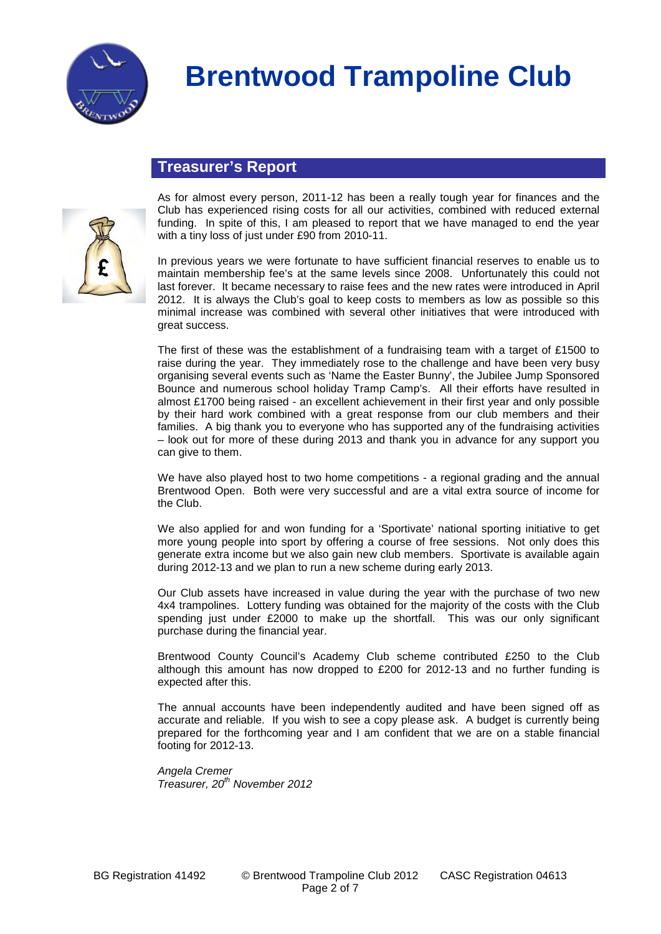

#### **Treasurer's Report**



As for almost every person, 2011-12 has been a really tough year for finances and the Club has experienced rising costs for all our activities, combined with reduced external funding. In spite of this, I am pleased to report that we have managed to end the year with a tiny loss of just under £90 from 2010-11.

In previous years we were fortunate to have sufficient financial reserves to enable us to maintain membership fee's at the same levels since 2008. Unfortunately this could not last forever. It became necessary to raise fees and the new rates were introduced in April 2012. It is always the Club's goal to keep costs to members as low as possible so this minimal increase was combined with several other initiatives that were introduced with great success.

The first of these was the establishment of a fundraising team with a target of £1500 to raise during the year. They immediately rose to the challenge and have been very busy organising several events such as 'Name the Easter Bunny', the Jubilee Jump Sponsored Bounce and numerous school holiday Tramp Camp's. All their efforts have resulted in almost £1700 being raised - an excellent achievement in their first year and only possible by their hard work combined with a great response from our club members and their families. A big thank you to everyone who has supported any of the fundraising activities – look out for more of these during 2013 and thank you in advance for any support you can give to them.

We have also played host to two home competitions - a regional grading and the annual Brentwood Open. Both were very successful and are a vital extra source of income for the Club.

We also applied for and won funding for a 'Sportivate' national sporting initiative to get more young people into sport by offering a course of free sessions. Not only does this generate extra income but we also gain new club members. Sportivate is available again during 2012-13 and we plan to run a new scheme during early 2013.

Our Club assets have increased in value during the year with the purchase of two new 4x4 trampolines. Lottery funding was obtained for the majority of the costs with the Club spending just under £2000 to make up the shortfall. This was our only significant purchase during the financial year.

Brentwood County Council's Academy Club scheme contributed £250 to the Club although this amount has now dropped to £200 for 2012-13 and no further funding is expected after this.

The annual accounts have been independently audited and have been signed off as accurate and reliable. If you wish to see a copy please ask. A budget is currently being prepared for the forthcoming year and I am confident that we are on a stable financial footing for 2012-13.

*Angela Cremer Treasurer, 20th November 2012*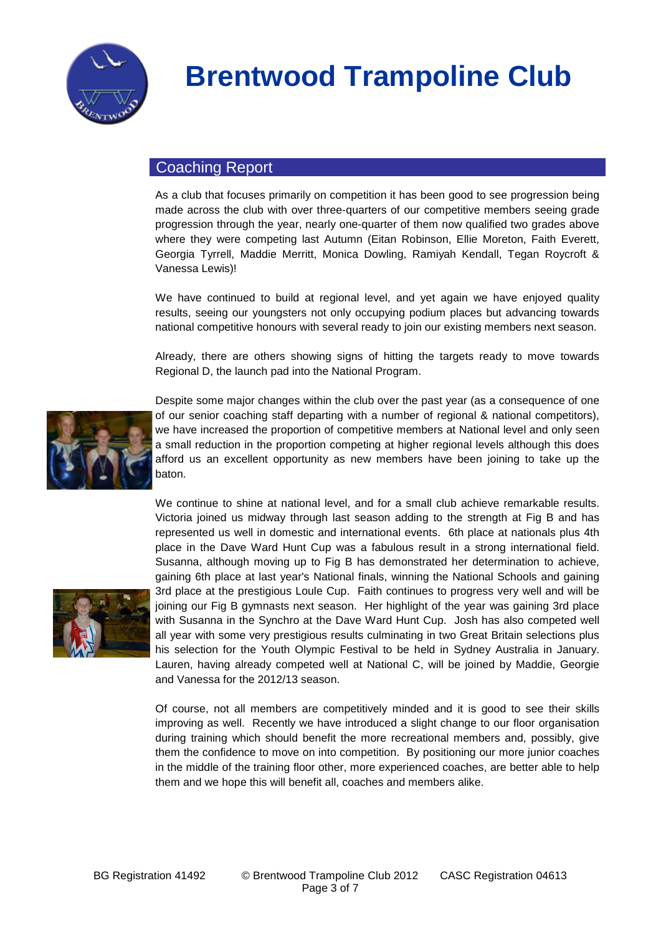

#### Coaching Report

As a club that focuses primarily on competition it has been good to see progression being made across the club with over three-quarters of our competitive members seeing grade progression through the year, nearly one-quarter of them now qualified two grades above where they were competing last Autumn (Eitan Robinson, Ellie Moreton, Faith Everett, Georgia Tyrrell, Maddie Merritt, Monica Dowling, Ramiyah Kendall, Tegan Roycroft & Vanessa Lewis)!

We have continued to build at regional level, and yet again we have enjoyed quality results, seeing our youngsters not only occupying podium places but advancing towards national competitive honours with several ready to join our existing members next season.

Already, there are others showing signs of hitting the targets ready to move towards Regional D, the launch pad into the National Program.



Despite some major changes within the club over the past year (as a consequence of one of our senior coaching staff departing with a number of regional & national competitors), we have increased the proportion of competitive members at National level and only seen a small reduction in the proportion competing at higher regional levels although this does afford us an excellent opportunity as new members have been joining to take up the baton.

We continue to shine at national level, and for a small club achieve remarkable results. Victoria joined us midway through last season adding to the strength at Fig B and has

represented us well in domestic and international events. 6th place at nationals plus 4th place in the Dave Ward Hunt Cup was a fabulous result in a strong international field. Susanna, although moving up to Fig B has demonstrated her determination to achieve, gaining 6th place at last year's National finals, winning the National Schools and gaining 3rd place at the prestigious Loule Cup. Faith continues to progress very well and will be joining our Fig B gymnasts next season. Her highlight of the year was gaining 3rd place with Susanna in the Synchro at the Dave Ward Hunt Cup. Josh has also competed well all year with some very prestigious results culminating in two Great Britain selections plus his selection for the Youth Olympic Festival to be held in Sydney Australia in January. Lauren, having already competed well at National C, will be joined by Maddie, Georgie and Vanessa for the 2012/13 season.

Of course, not all members are competitively minded and it is good to see their skills improving as well. Recently we have introduced a slight change to our floor organisation during training which should benefit the more recreational members and, possibly, give them the confidence to move on into competition. By positioning our more junior coaches in the middle of the training floor other, more experienced coaches, are better able to help them and we hope this will benefit all, coaches and members alike.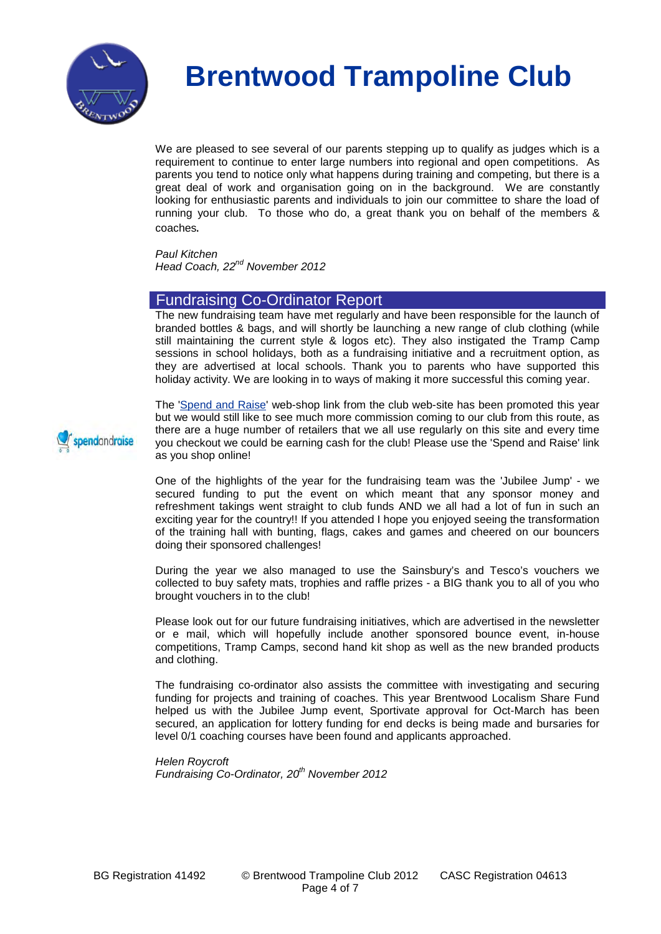

We are pleased to see several of our parents stepping up to qualify as judges which is a requirement to continue to enter large numbers into regional and open competitions. As parents you tend to notice only what happens during training and competing, but there is a great deal of work and organisation going on in the background. We are constantly looking for enthusiastic parents and individuals to join our committee to share the load of running your club. To those who do, a great thank you on behalf of the members & coaches.

*Paul Kitchen Head Coach, 22nd November 2012*

#### Fundraising Co-Ordinator Report

The new fundraising team have met regularly and have been responsible for the launch of branded bottles & bags, and will shortly be launching a new range of club clothing (while still maintaining the current style & logos etc). They also instigated the Tramp Camp sessions in school holidays, both as a fundraising initiative and a recruitment option, as they are advertised at local schools. Thank you to parents who have supported this holiday activity. We are looking in to ways of making it more successful this coming year.

The ['Spend and Raise'](http://www.spendandraise.com/brentwoodtc/) web-shop link from the club web-site has been promoted this year but we would still like to see much more commission coming to our club from this route, as there are a huge number of retailers that we all use regularly on this site and every time you checkout we could be earning cash for the club! Please use the 'Spend and Raise' link as you shop online!

One of the highlights of the year for the fundraising team was the 'Jubilee Jump' - we secured funding to put the event on which meant that any sponsor money and refreshment takings went straight to club funds AND we all had a lot of fun in such an exciting year for the country!! If you attended I hope you enjoyed seeing the transformation of the training hall with bunting, flags, cakes and games and cheered on our bouncers doing their sponsored challenges!

During the year we also managed to use the Sainsbury's and Tesco's vouchers we collected to buy safety mats, trophies and raffle prizes - a BIG thank you to all of you who brought vouchers in to the club!

Please look out for our future fundraising initiatives, which are advertised in the newsletter or e mail, which will hopefully include another sponsored bounce event, in-house competitions, Tramp Camps, second hand kit shop as well as the new branded products and clothing.

The fundraising co-ordinator also assists the committee with investigating and securing funding for projects and training of coaches. This year Brentwood Localism Share Fund helped us with the Jubilee Jump event, Sportivate approval for Oct-March has been secured, an application for lottery funding for end decks is being made and bursaries for level 0/1 coaching courses have been found and applicants approached.

*Helen Roycroft Fundraising Co-Ordinator, 20th November 2012*

spendandraise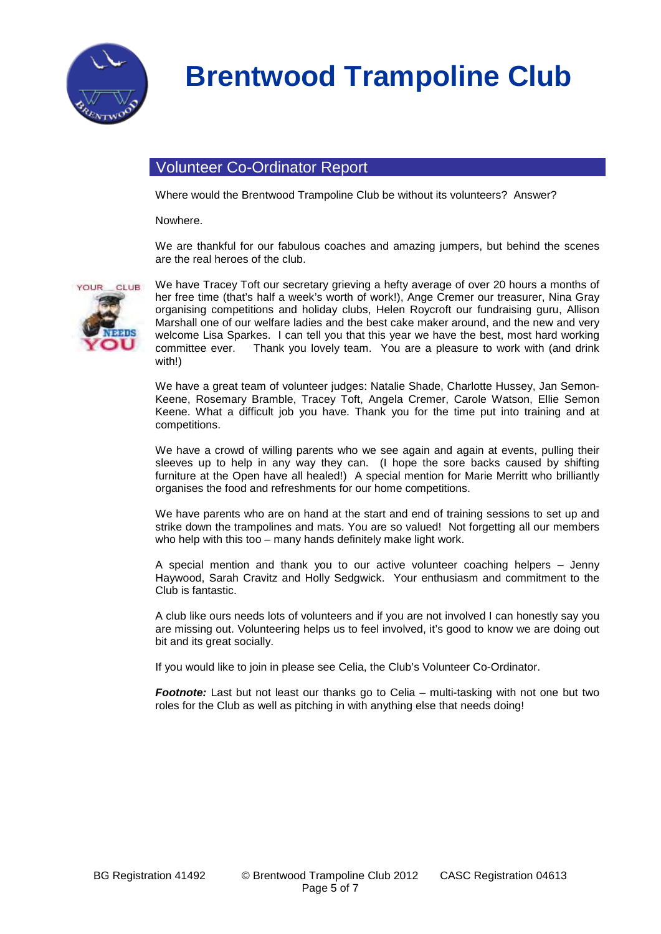

### Volunteer Co-Ordinator Report

Where would the Brentwood Trampoline Club be without its volunteers? Answer?

Nowhere.

We are thankful for our fabulous coaches and amazing jumpers, but behind the scenes are the real heroes of the club.



We have Tracey Toft our secretary grieving a hefty average of over 20 hours a months of her free time (that's half a week's worth of work!), Ange Cremer our treasurer, Nina Gray organising competitions and holiday clubs, Helen Roycroft our fundraising guru, Allison Marshall one of our welfare ladies and the best cake maker around, and the new and very welcome Lisa Sparkes. I can tell you that this year we have the best, most hard working<br>committee ever. Thank you lovely team. You are a pleasure to work with (and drink Thank you lovely team. You are a pleasure to work with (and drink with!)

We have a great team of volunteer judges: Natalie Shade, Charlotte Hussey, Jan Semon-Keene, Rosemary Bramble, Tracey Toft, Angela Cremer, Carole Watson, Ellie Semon Keene. What a difficult job you have. Thank you for the time put into training and at competitions.

We have a crowd of willing parents who we see again and again at events, pulling their sleeves up to help in any way they can. (I hope the sore backs caused by shifting furniture at the Open have all healed!) A special mention for Marie Merritt who brilliantly organises the food and refreshments for our home competitions.

We have parents who are on hand at the start and end of training sessions to set up and strike down the trampolines and mats. You are so valued! Not forgetting all our members who help with this too – many hands definitely make light work.

A special mention and thank you to our active volunteer coaching helpers – Jenny Haywood, Sarah Cravitz and Holly Sedgwick. Your enthusiasm and commitment to the Club is fantastic.

A club like ours needs lots of volunteers and if you are not involved I can honestly say you are missing out. Volunteering helps us to feel involved, it's good to know we are doing out bit and its great socially.

If you would like to join in please see Celia, the Club's Volunteer Co-Ordinator.

*Footnote:* Last but not least our thanks go to Celia – multi-tasking with not one but two roles for the Club as well as pitching in with anything else that needs doing!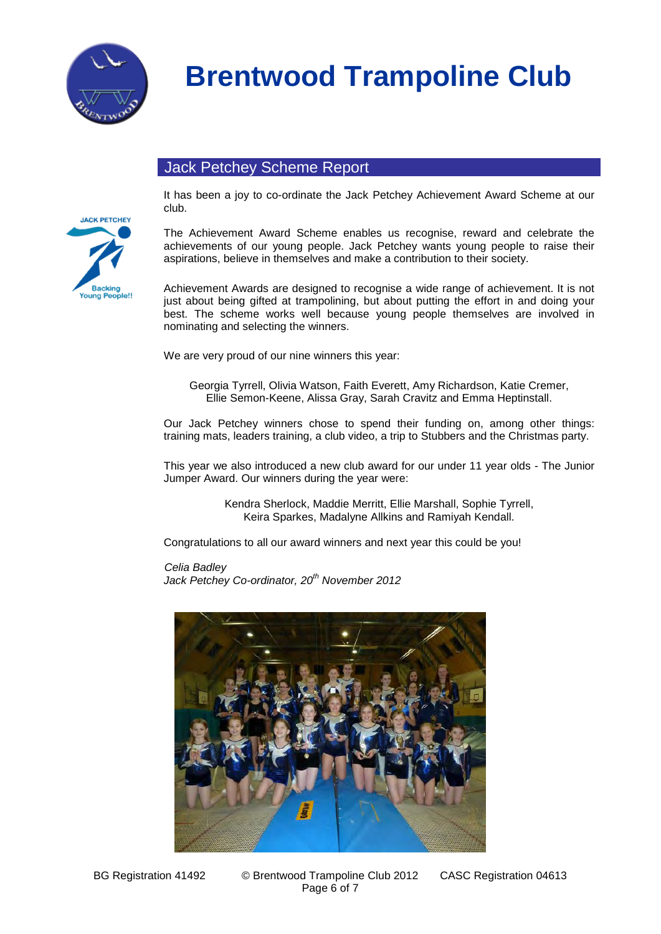

### Jack Petchey Scheme Report



It has been a joy to co-ordinate the Jack Petchey Achievement Award Scheme at our club.

The Achievement Award Scheme enables us recognise, reward and celebrate the achievements of our young people. Jack Petchey wants young people to raise their aspirations, believe in themselves and make a contribution to their society.

Achievement Awards are designed to recognise a wide range of achievement. It is not just about being gifted at trampolining, but about putting the effort in and doing your best. The scheme works well because young people themselves are involved in nominating and selecting the winners.

We are very proud of our nine winners this year:

Georgia Tyrrell, Olivia Watson, Faith Everett, Amy Richardson, Katie Cremer, Ellie Semon-Keene, Alissa Gray, Sarah Cravitz and Emma Heptinstall.

Our Jack Petchey winners chose to spend their funding on, among other things: training mats, leaders training, a club video, a trip to Stubbers and the Christmas party.

This year we also introduced a new club award for our under 11 year olds - The Junior Jumper Award. Our winners during the year were:

> Kendra Sherlock, Maddie Merritt, Ellie Marshall, Sophie Tyrrell, Keira Sparkes, Madalyne Allkins and Ramiyah Kendall.

Congratulations to all our award winners and next year this could be you!

*Celia Badley Jack Petchey Co-ordinator, 20th November 2012*